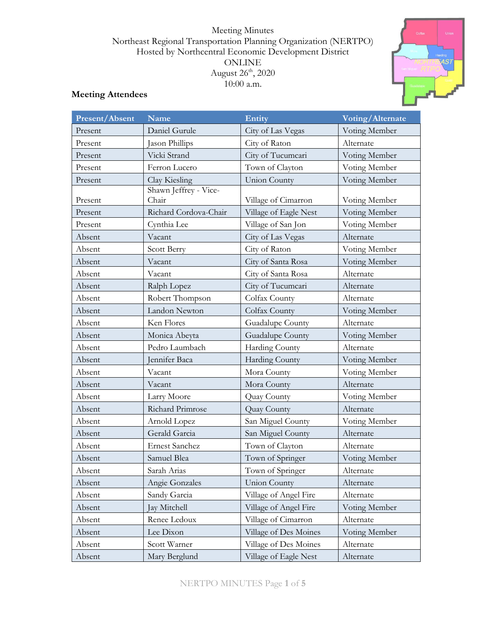### Meeting Minutes Northeast Regional Transportation Planning Organization (NERTPO) Hosted by Northcentral Economic Development District ONLINE August 26<sup>th</sup>, 2020 10:00 a.m.



## **Meeting Attendees**

| <b>Present/Absent</b> | Name                           | Entity                | Voting/Alternate |
|-----------------------|--------------------------------|-----------------------|------------------|
| Present               | Daniel Gurule                  | City of Las Vegas     | Voting Member    |
| Present               | Jason Phillips                 | City of Raton         | Alternate        |
| Present               | Vicki Strand                   | City of Tucumcari     | Voting Member    |
| Present               | Ferron Lucero                  | Town of Clayton       | Voting Member    |
| Present               | Clay Kiesling                  | <b>Union County</b>   | Voting Member    |
| Present               | Shawn Jeffrey - Vice-<br>Chair | Village of Cimarron   | Voting Member    |
| Present               | Richard Cordova-Chair          | Village of Eagle Nest | Voting Member    |
| Present               | Cynthia Lee                    | Village of San Jon    | Voting Member    |
| Absent                | Vacant                         | City of Las Vegas     | Alternate        |
| Absent                | Scott Berry                    | City of Raton         | Voting Member    |
| Absent                | Vacant                         | City of Santa Rosa    | Voting Member    |
| Absent                | Vacant                         | City of Santa Rosa    | Alternate        |
| Absent                | Ralph Lopez                    | City of Tucumcari     | Alternate        |
| Absent                | Robert Thompson                | Colfax County         | Alternate        |
| Absent                | Landon Newton                  | Colfax County         | Voting Member    |
| Absent                | Ken Flores                     | Guadalupe County      | Alternate        |
| Absent                | Monica Abeyta                  | Guadalupe County      | Voting Member    |
| Absent                | Pedro Laumbach                 | Harding County        | Alternate        |
| Absent                | Jennifer Baca                  | Harding County        | Voting Member    |
| Absent                | Vacant                         | Mora County           | Voting Member    |
| Absent                | Vacant                         | Mora County           | Alternate        |
| Absent                | Larry Moore                    | Quay County           | Voting Member    |
| Absent                | Richard Primrose               | Quay County           | Alternate        |
| Absent                | Arnold Lopez                   | San Miguel County     | Voting Member    |
| Absent                | Gerald Garcia                  | San Miguel County     | Alternate        |
| Absent                | <b>Ernest Sanchez</b>          | Town of Clayton       | Alternate        |
| Absent                | Samuel Blea                    | Town of Springer      | Voting Member    |
| Absent                | Sarah Arias                    | Town of Springer      | Alternate        |
| Absent                | Angie Gonzales                 | <b>Union County</b>   | Alternate        |
| Absent                | Sandy Garcia                   | Village of Angel Fire | Alternate        |
| Absent                | Jay Mitchell                   | Village of Angel Fire | Voting Member    |
| Absent                | Renee Ledoux                   | Village of Cimarron   | Alternate        |
| Absent                | Lee Dixon                      | Village of Des Moines | Voting Member    |
| Absent                | Scott Warner                   | Village of Des Moines | Alternate        |
| Absent                | Mary Berglund                  | Village of Eagle Nest | Alternate        |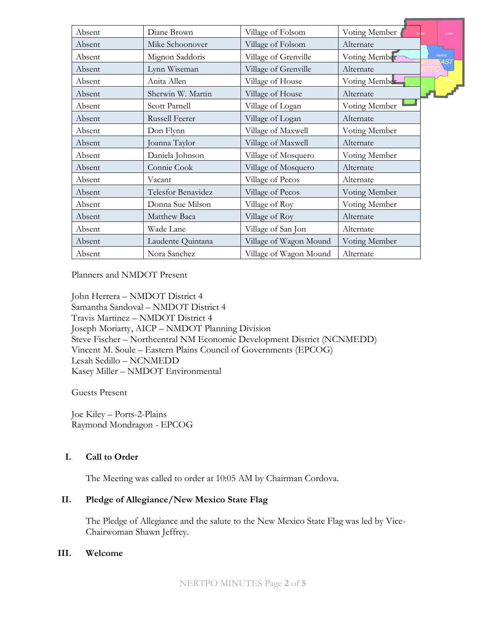| Absent | Diane Brown           | Village of Folsom      | Voting Member |         | Union      |
|--------|-----------------------|------------------------|---------------|---------|------------|
| Absent | Mike Schoonover       | Village of Folsom      | Alternate     |         |            |
| Absent | Mignon Saddoris       | Village of Grenville   | Voting Member | Harding | <b>AST</b> |
| Absent | Lynn Wiseman          | Village of Grenville   | Alternate     |         |            |
| Absent | Anita Allen           | Village of House       | Voting Member |         |            |
| Absent | Sherwin W. Martin     | Village of House       | Alternate     |         |            |
| Absent | Scott Parnell         | Village of Logan       | Voting Member |         |            |
| Absent | <b>Russell Feerer</b> | Village of Logan       | Alternate     |         |            |
| Absent | Don Flynn             | Village of Maxwell     | Voting Member |         |            |
| Absent | Joanna Taylor         | Village of Maxwell     | Alternate     |         |            |
| Absent | Daniela Johnson       | Village of Mosquero    | Voting Member |         |            |
| Absent | Connie Cook           | Village of Mosquero    | Alternate     |         |            |
| Absent | Vacant                | Village of Pecos       | Alternate     |         |            |
| Absent | Telesfor Benavidez    | Village of Pecos       | Voting Member |         |            |
| Absent | Donna Sue Milson      | Village of Roy         | Voting Member |         |            |
| Absent | Matthew Baca          | Village of Roy         | Alternate     |         |            |
| Absent | Wade Lane             | Village of San Jon     | Alternate     |         |            |
| Absent | Laudente Quintana     | Village of Wagon Mound | Voting Member |         |            |
| Absent | Nora Sanchez          | Village of Wagon Mound | Alternate     |         |            |
|        |                       |                        |               |         |            |

Planners and NMDOT Present

John Herrera – NMDOT District 4 Samantha Sandoval – NMDOT District 4 Travis Martinez – NMDOT District 4 Joseph Moriarty, AICP – NMDOT Planning Division Steve Fischer – Northcentral NM Economic Development District (NCNMEDD) Vincent M. Soule – Eastern Plains Council of Governments (EPCOG) Lesah Sedillo – NCNMEDD Kasey Miller – NMDOT Environmental

Guests Present

Joe Kiley – Ports-2-Plains Raymond Mondragon - EPCOG

### **I. Call to Order**

The Meeting was called to order at 10:05 AM by Chairman Cordova.

#### **II. Pledge of Allegiance/New Mexico State Flag**

The Pledge of Allegiance and the salute to the New Mexico State Flag was led by Vice-Chairwoman Shawn Jeffrey.

#### **III. Welcome**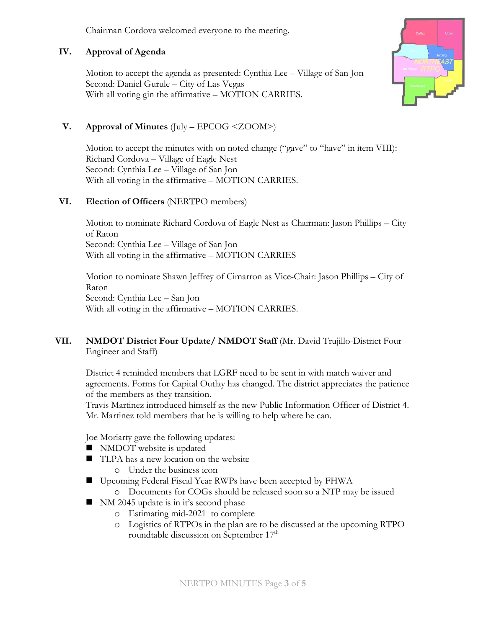Chairman Cordova welcomed everyone to the meeting.

### **IV. Approval of Agenda**

Motion to accept the agenda as presented: Cynthia Lee – Village of San Jon Second: Daniel Gurule – City of Las Vegas With all voting gin the affirmative – MOTION CARRIES.



## **V. Approval of Minutes** (July – EPCOG <ZOOM>)

Motion to accept the minutes with on noted change ("gave" to "have" in item VIII): Richard Cordova – Village of Eagle Nest Second: Cynthia Lee – Village of San Jon With all voting in the affirmative – MOTION CARRIES.

### **VI. Election of Officers** (NERTPO members)

Motion to nominate Richard Cordova of Eagle Nest as Chairman: Jason Phillips – City of Raton Second: Cynthia Lee – Village of San Jon With all voting in the affirmative – MOTION CARRIES

Motion to nominate Shawn Jeffrey of Cimarron as Vice-Chair: Jason Phillips – City of Raton Second: Cynthia Lee – San Jon With all voting in the affirmative – MOTION CARRIES.

**VII. NMDOT District Four Update/ NMDOT Staff** (Mr. David Trujillo-District Four Engineer and Staff)

District 4 reminded members that LGRF need to be sent in with match waiver and agreements. Forms for Capital Outlay has changed. The district appreciates the patience of the members as they transition.

Travis Martinez introduced himself as the new Public Information Officer of District 4. Mr. Martinez told members that he is willing to help where he can.

Joe Moriarty gave the following updates:

- NMDOT website is updated
- TLPA has a new location on the website o Under the business icon
- Upcoming Federal Fiscal Year RWPs have been accepted by FHWA
	- o Documents for COGs should be released soon so a NTP may be issued
- NM 2045 update is in it's second phase
	- o Estimating mid-2021 to complete
	- o Logistics of RTPOs in the plan are to be discussed at the upcoming RTPO roundtable discussion on September 17<sup>th</sup>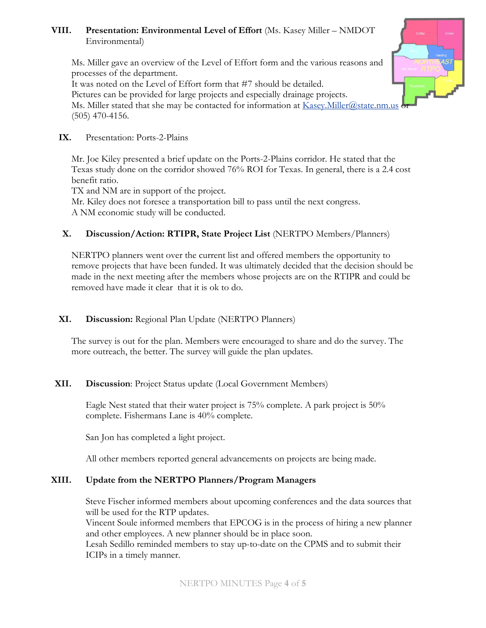## **VIII. Presentation: Environmental Level of Effort** (Ms. Kasey Miller – NMDOT Environmental)

Ms. Miller gave an overview of the Level of Effort form and the various reasons and processes of the department.

It was noted on the Level of Effort form that #7 should be detailed.

Pictures can be provided for large projects and especially drainage projects.

Ms. Miller stated that she may be contacted for information at [Kasey.Miller@state.nm.us](mailto:Kasey.Miller@state.nm.us) (505) 470-4156.

## **IX.** Presentation: Ports-2-Plains

Mr. Joe Kiley presented a brief update on the Ports-2-Plains corridor. He stated that the Texas study done on the corridor showed 76% ROI for Texas. In general, there is a 2.4 cost benefit ratio.

TX and NM are in support of the project.

Mr. Kiley does not foresee a transportation bill to pass until the next congress. A NM economic study will be conducted.

# **X. Discussion/Action: RTIPR, State Project List** (NERTPO Members/Planners)

NERTPO planners went over the current list and offered members the opportunity to remove projects that have been funded. It was ultimately decided that the decision should be made in the next meeting after the members whose projects are on the RTIPR and could be removed have made it clear that it is ok to do.

# **XI. Discussion:** Regional Plan Update (NERTPO Planners)

The survey is out for the plan. Members were encouraged to share and do the survey. The more outreach, the better. The survey will guide the plan updates.

# **XII. Discussion**: Project Status update (Local Government Members)

Eagle Nest stated that their water project is 75% complete. A park project is 50% complete. Fishermans Lane is 40% complete.

San Jon has completed a light project.

All other members reported general advancements on projects are being made.

# **XIII. Update from the NERTPO Planners/Program Managers**

Steve Fischer informed members about upcoming conferences and the data sources that will be used for the RTP updates.

Vincent Soule informed members that EPCOG is in the process of hiring a new planner and other employees. A new planner should be in place soon.

Lesah Sedillo reminded members to stay up-to-date on the CPMS and to submit their ICIPs in a timely manner.